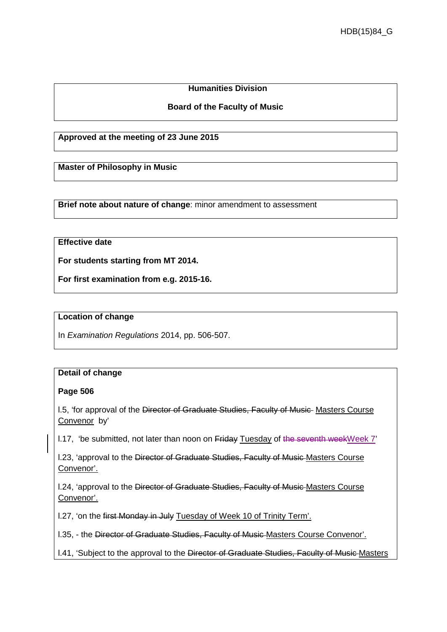# **Humanities Division**

## **Board of the Faculty of Music**

**Approved at the meeting of 23 June 2015**

**Master of Philosophy in Music**

**Brief note about nature of change**: minor amendment to assessment

# **Effective date**

**For students starting from MT 2014.**

**For first examination from e.g. 2015-16.**

#### **Location of change**

In *Examination Regulations* 2014, pp. 506-507.

### **Detail of change**

### **Page 506**

I.5, 'for approval of the Director of Graduate Studies, Faculty of Music Masters Course Convenor by'

l.17, 'be submitted, not later than noon on Friday Tuesday of the seventh weekWeek 7'

l.23, 'approval to the Director of Graduate Studies, Faculty of Music Masters Course Convenor'.

l.24, 'approval to the Director of Graduate Studies, Faculty of Music Masters Course Convenor'.

l.27, 'on the first Monday in July Tuesday of Week 10 of Trinity Term'.

l.35, - the Director of Graduate Studies, Faculty of Music Masters Course Convenor'.

l.41, 'Subject to the approval to the Director of Graduate Studies, Faculty of Music Masters